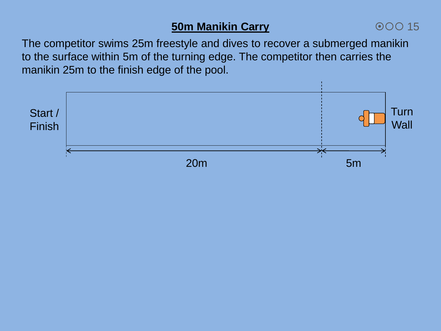## **50m Manikin Carry**

## 00015

The competitor swims 25m freestyle and dives to recover a submerged manikin to the surface within 5m of the turning edge. The competitor then carries the manikin 25m to the finish edge of the pool.

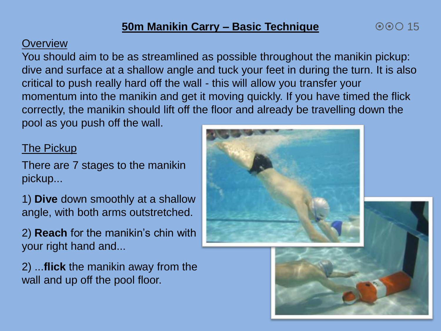#### **Overview**

You should aim to be as streamlined as possible throughout the manikin pickup: dive and surface at a shallow angle and tuck your feet in during the turn. It is also critical to push really hard off the wall - this will allow you transfer your momentum into the manikin and get it moving quickly. If you have timed the flick correctly, the manikin should lift off the floor and already be travelling down the pool as you push off the wall.

#### The Pickup

There are 7 stages to the manikin pickup...

1) **Dive** down smoothly at a shallow angle, with both arms outstretched.

2) **Reach** for the manikin's chin with your right hand and...

2) ...**flick** the manikin away from the wall and up off the pool floor.